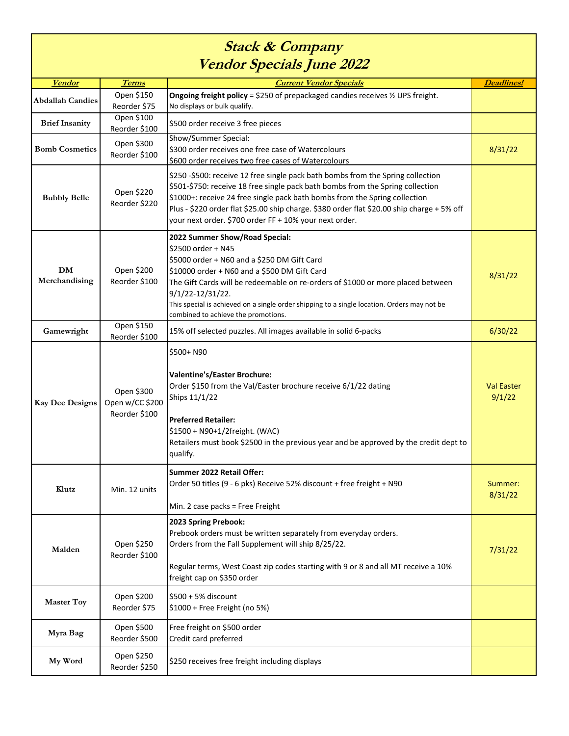## **Stack & Company Vendor Specials June 2022**

| rchqui speciais func 2022  |                                                |                                                                                                                                                                                                                                                                                                                                                                                                         |                             |  |  |
|----------------------------|------------------------------------------------|---------------------------------------------------------------------------------------------------------------------------------------------------------------------------------------------------------------------------------------------------------------------------------------------------------------------------------------------------------------------------------------------------------|-----------------------------|--|--|
| <b>Vendor</b>              | <b>Terms</b>                                   | <b>Current Vendor Specials</b>                                                                                                                                                                                                                                                                                                                                                                          | Deadlines!                  |  |  |
| <b>Abdallah Candies</b>    | Open \$150<br>Reorder \$75                     | Ongoing freight policy = \$250 of prepackaged candies receives 1/2 UPS freight.<br>No displays or bulk qualify.                                                                                                                                                                                                                                                                                         |                             |  |  |
| <b>Brief Insanity</b>      | Open \$100<br>Reorder \$100                    | \$500 order receive 3 free pieces                                                                                                                                                                                                                                                                                                                                                                       |                             |  |  |
| <b>Bomb Cosmetics</b>      | Open \$300<br>Reorder \$100                    | Show/Summer Special:<br>\$300 order receives one free case of Watercolours<br>\$600 order receives two free cases of Watercolours                                                                                                                                                                                                                                                                       | 8/31/22                     |  |  |
| <b>Bubbly Belle</b>        | Open \$220<br>Reorder \$220                    | \$250 -\$500: receive 12 free single pack bath bombs from the Spring collection<br>\$501-\$750: receive 18 free single pack bath bombs from the Spring collection<br>\$1000+: receive 24 free single pack bath bombs from the Spring collection<br>Plus - \$220 order flat \$25.00 ship charge. \$380 order flat \$20.00 ship charge + 5% off<br>your next order. \$700 order FF + 10% your next order. |                             |  |  |
| <b>DM</b><br>Merchandising | Open \$200<br>Reorder \$100                    | 2022 Summer Show/Road Special:<br>\$2500 order + N45<br>\$5000 order + N60 and a \$250 DM Gift Card<br>\$10000 order + N60 and a \$500 DM Gift Card<br>The Gift Cards will be redeemable on re-orders of \$1000 or more placed between<br>9/1/22-12/31/22.<br>This special is achieved on a single order shipping to a single location. Orders may not be<br>combined to achieve the promotions.        | 8/31/22                     |  |  |
| Gamewright                 | Open \$150<br>Reorder \$100                    | 15% off selected puzzles. All images available in solid 6-packs                                                                                                                                                                                                                                                                                                                                         | 6/30/22                     |  |  |
| <b>Kay Dee Designs</b>     | Open \$300<br>Open w/CC \$200<br>Reorder \$100 | \$500+ N90<br><b>Valentine's/Easter Brochure:</b><br>Order \$150 from the Val/Easter brochure receive 6/1/22 dating<br>Ships 11/1/22<br><b>Preferred Retailer:</b><br>\$1500 + N90+1/2freight. (WAC)<br>Retailers must book \$2500 in the previous year and be approved by the credit dept to<br>qualify.                                                                                               | <b>Val Easter</b><br>9/1/22 |  |  |
| Klutz                      | Min. 12 units                                  | Summer 2022 Retail Offer:<br>Order 50 titles (9 - 6 pks) Receive 52% discount + free freight + N90<br>Min. 2 case packs = Free Freight                                                                                                                                                                                                                                                                  | Summer:<br>8/31/22          |  |  |
| Malden                     | Open \$250<br>Reorder \$100                    | 2023 Spring Prebook:<br>Prebook orders must be written separately from everyday orders.<br>Orders from the Fall Supplement will ship 8/25/22.<br>Regular terms, West Coast zip codes starting with 9 or 8 and all MT receive a 10%<br>freight cap on \$350 order                                                                                                                                        | 7/31/22                     |  |  |
| <b>Master Toy</b>          | Open \$200<br>Reorder \$75                     | \$500 + 5% discount<br>\$1000 + Free Freight (no 5%)                                                                                                                                                                                                                                                                                                                                                    |                             |  |  |
| Myra Bag                   | Open \$500<br>Reorder \$500                    | Free freight on \$500 order<br>Credit card preferred                                                                                                                                                                                                                                                                                                                                                    |                             |  |  |
| My Word                    | Open \$250<br>Reorder \$250                    | \$250 receives free freight including displays                                                                                                                                                                                                                                                                                                                                                          |                             |  |  |